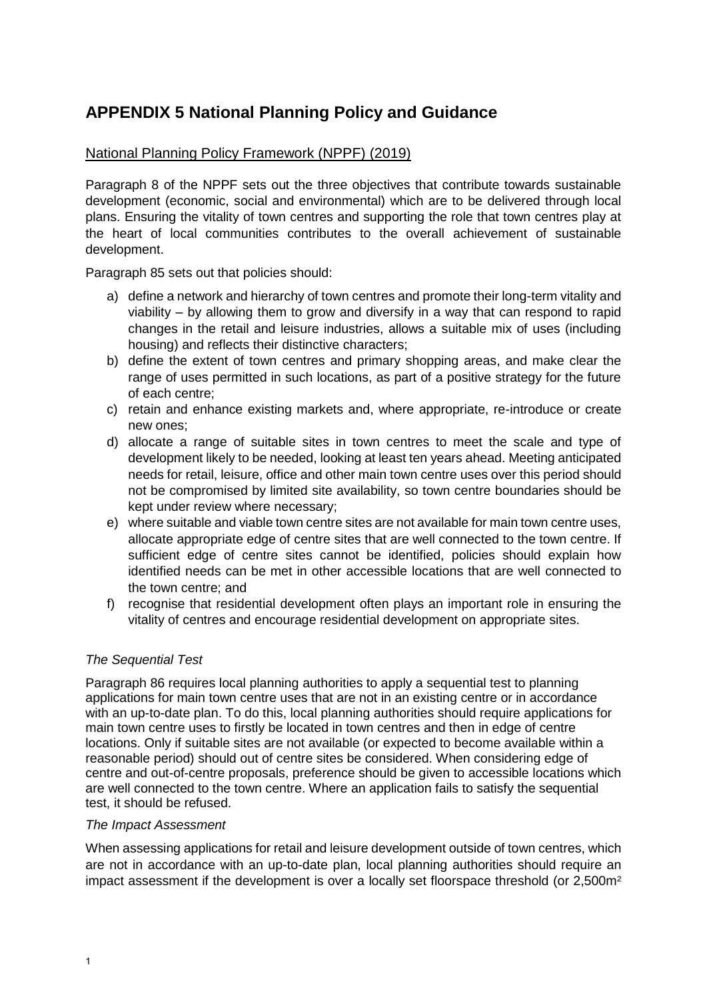# **APPENDIX 5 National Planning Policy and Guidance**

## [National Planning Policy Framework](https://assets.publishing.service.gov.uk/government/uploads/system/uploads/attachment_data/file/740441/National_Planning_Policy_Framework_web_accessible_version.pdf) (NPPF) (2019)

Paragraph 8 of the NPPF sets out the three objectives that contribute towards sustainable development (economic, social and environmental) which are to be delivered through local plans. Ensuring the vitality of town centres and supporting the role that town centres play at the heart of local communities contributes to the overall achievement of sustainable development.

Paragraph 85 sets out that policies should:

- a) define a network and hierarchy of town centres and promote their long-term vitality and viability – by allowing them to grow and diversify in a way that can respond to rapid changes in the retail and leisure industries, allows a suitable mix of uses (including housing) and reflects their distinctive characters;
- b) define the extent of town centres and primary shopping areas, and make clear the range of uses permitted in such locations, as part of a positive strategy for the future of each centre;
- c) retain and enhance existing markets and, where appropriate, re-introduce or create new ones;
- d) allocate a range of suitable sites in town centres to meet the scale and type of development likely to be needed, looking at least ten years ahead. Meeting anticipated needs for retail, leisure, office and other main town centre uses over this period should not be compromised by limited site availability, so town centre boundaries should be kept under review where necessary;
- e) where suitable and viable town centre sites are not available for main town centre uses, allocate appropriate edge of centre sites that are well connected to the town centre. If sufficient edge of centre sites cannot be identified, policies should explain how identified needs can be met in other accessible locations that are well connected to the town centre; and
- f) recognise that residential development often plays an important role in ensuring the vitality of centres and encourage residential development on appropriate sites.

## *The Sequential Test*

Paragraph 86 requires local planning authorities to apply a sequential test to planning applications for main town centre uses that are not in an existing centre or in accordance with an up-to-date plan. To do this, local planning authorities should require applications for main town centre uses to firstly be located in town centres and then in edge of centre locations. Only if suitable sites are not available (or expected to become available within a reasonable period) should out of centre sites be considered. When considering edge of centre and out-of-centre proposals, preference should be given to accessible locations which are well connected to the town centre. Where an application fails to satisfy the sequential test, it should be refused.

#### *The Impact Assessment*

When assessing applications for retail and leisure development outside of town centres, which are not in accordance with an up-to-date plan, local planning authorities should require an impact assessment if the development is over a locally set floorspace threshold (or 2,500m²